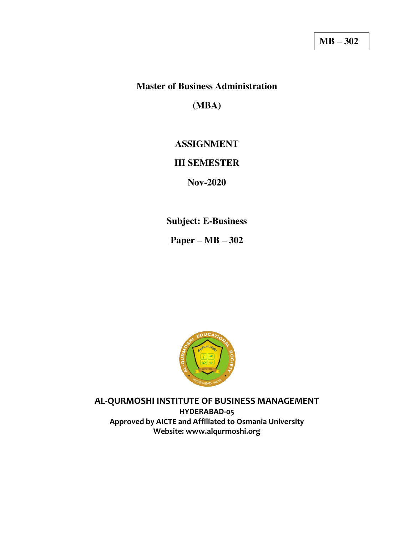## **Master of Business Administration**

**(MBA)** 

# **ASSIGNMENT**

#### **III SEMESTER**

**Nov-2020** 

**Subject: E-Business** 

**Paper – MB – 302** 



**AL-QURMOSHI INSTITUTE OF BUSINESS MANAGEMENT** 

**HYDERABAD-05 Approved by AICTE and Affiliated to Osmania University Website: www.alqurmoshi.org**